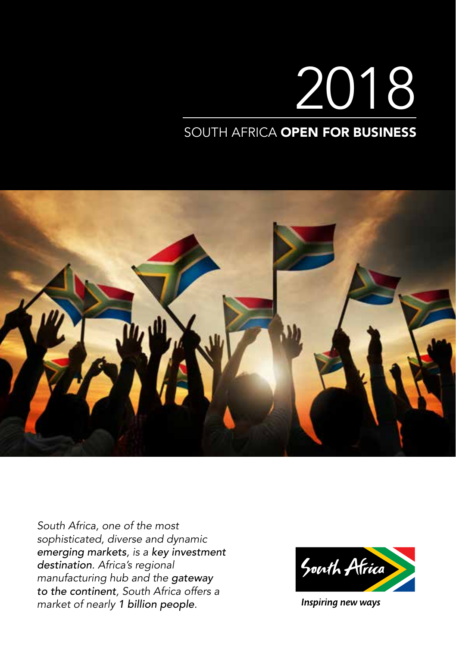# 2018 SOUTH AFRICA OPEN FOR BUSINESS

*South Africa, one of the most sophisticated, diverse and dynamic emerging markets, is a key investment destination. Africa's regional manufacturing hub and the gateway to the continent, South Africa offers a market of nearly 1 billion people.*



Inspiring new ways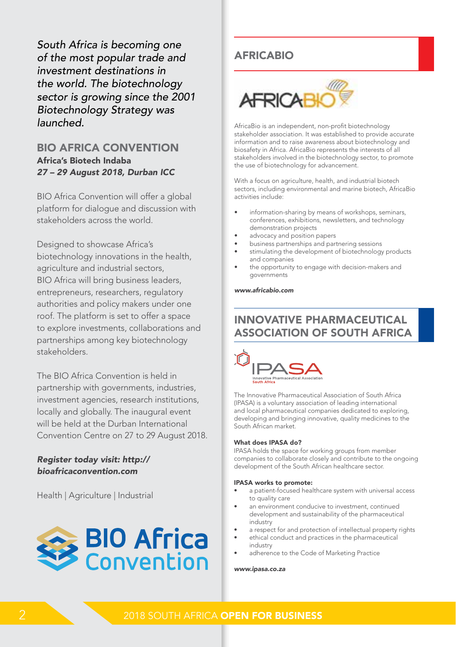*South Africa is becoming one of the most popular trade and investment destinations in the world. The biotechnology sector is growing since the 2001 Biotechnology Strategy was launched.*

# BIO AFRICA CONVENTION Africa's Biotech Indaba *27 – 29 August 2018, Durban ICC*

BIO Africa Convention will offer a global platform for dialogue and discussion with stakeholders across the world.

Designed to showcase Africa's biotechnology innovations in the health, agriculture and industrial sectors, BIO Africa will bring business leaders, entrepreneurs, researchers, regulatory authorities and policy makers under one roof. The platform is set to offer a space to explore investments, collaborations and partnerships among key biotechnology stakeholders.

The BIO Africa Convention is held in partnership with governments, industries, investment agencies, research institutions, locally and globally. The inaugural event will be held at the Durban International Convention Centre on 27 to 29 August 2018.

### *Register today visit: http:// bioafricaconvention.com*

Health | Agriculture | Industrial



# AFRICABIO



AfricaBio is an independent, non-profit biotechnology stakeholder association. It was established to provide accurate information and to raise awareness about biotechnology and biosafety in Africa. AfricaBio represents the interests of all stakeholders involved in the biotechnology sector, to promote the use of biotechnology for advancement.

With a focus on agriculture, health, and industrial biotech sectors, including environmental and marine biotech, AfricaBio activities include:

- information-sharing by means of workshops, seminars, conferences, exhibitions, newsletters, and technology demonstration projects
- advocacy and position papers
- business partnerships and partnering sessions
- stimulating the development of biotechnology products and companies
- the opportunity to engage with decision-makers and governments

#### *www.africabio.com*

# INNOVATIVE PHARMACEUTICAL ASSOCIATION OF SOUTH AFRICA



The Innovative Pharmaceutical Association of South Africa (IPASA) is a voluntary association of leading international and local pharmaceutical companies dedicated to exploring, developing and bringing innovative, quality medicines to the South African market.

#### What does IPASA do?

IPASA holds the space for working groups from member companies to collaborate closely and contribute to the ongoing development of the South African healthcare sector.

#### IPASA works to promote:

- a patient-focused healthcare system with universal access to quality care
- an environment conducive to investment, continued development and sustainability of the pharmaceutical industry
- a respect for and protection of intellectual property rights
- ethical conduct and practices in the pharmaceutical industry
- adherence to the Code of Marketing Practice

#### *www.ipasa.co.za*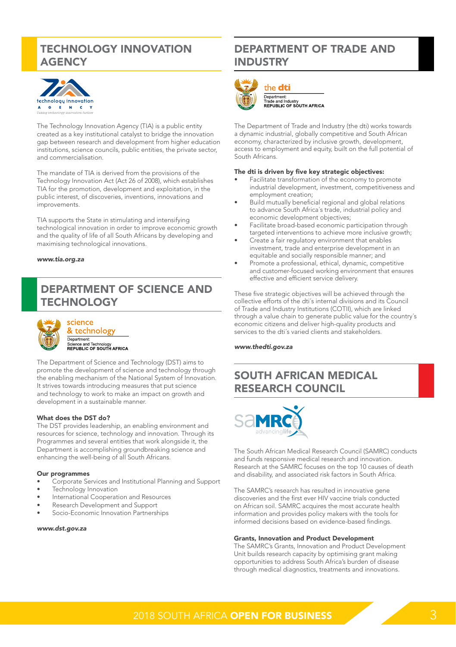# TECHNOLOGY INNOVATION **AGENCY**



The Technology Innovation Agency (TIA) is a public entity created as a key institutional catalyst to bridge the innovation gap between research and development from higher education institutions, science councils, public entities, the private sector, and commercialisation.

The mandate of TIA is derived from the provisions of the Technology Innovation Act (Act 26 of 2008), which establishes TIA for the promotion, development and exploitation, in the public interest, of discoveries, inventions, innovations and improvements.

TIA supports the State in stimulating and intensifying technological innovation in order to improve economic growth and the quality of life of all South Africans by developing and maximising technological innovations.

#### *www.tia.org.za*

# DEPARTMENT OF SCIENCE AND **TECHNOLOGY**



& technology Department:<br>Science and Technology<br>REPUBLIC OF SOUTH AFRICA

The Department of Science and Technology (DST) aims to promote the development of science and technology through the enabling mechanism of the National System of Innovation. It strives towards introducing measures that put science and technology to work to make an impact on growth and development in a sustainable manner.

#### What does the DST do?

The DST provides leadership, an enabling environment and resources for science, technology and innovation. Through its Programmes and several entities that work alongside it, the Department is accomplishing groundbreaking science and enhancing the well-being of all South Africans.

#### Our programmes

- Corporate Services and Institutional Planning and Support
- Technology Innovation
- International Cooperation and Resources
- Research Development and Support
- Socio-Economic Innovation Partnerships

#### *www.dst.gov.za*

# DEPARTMENT OF TRADE AND INDUSTRY



#### the dti

Department:<br>Trade and Industry<br>REPUBLIC OF SOUTH AFRICA

The Department of Trade and Industry (the dti) works towards a dynamic industrial, globally competitive and South African economy, characterized by inclusive growth, development, access to employment and equity, built on the full potential of South Africans.

#### The dti is driven by five key strategic objectives:

- Facilitate transformation of the economy to promote industrial development, investment, competitiveness and employment creation;
- Build mutually beneficial regional and global relations to advance South Africa´s trade, industrial policy and economic development objectives;
- Facilitate broad-based economic participation through targeted interventions to achieve more inclusive growth;
- Create a fair regulatory environment that enables investment, trade and enterprise development in an equitable and socially responsible manner; and
- Promote a professional, ethical, dynamic, competitive and customer-focused working environment that ensures effective and efficient service delivery.

These five strategic objectives will be achieved through the collective efforts of the dti´s internal divisions and its Council of Trade and Industry Institutions (COTII), which are linked through a value chain to generate public value for the country´s economic citizens and deliver high-quality products and services to the dti´s varied clients and stakeholders.

*www.thedti.gov.za*

# SOUTH AFRICAN MEDICAL RESEARCH COUNCIL



The South African Medical Research Council (SAMRC) conducts and funds responsive medical research and innovation. Research at the SAMRC focuses on the top 10 causes of death and disability, and associated risk factors in South Africa.

The SAMRC's research has resulted in innovative gene discoveries and the first ever HIV vaccine trials conducted on African soil. SAMRC acquires the most accurate health information and provides policy makers with the tools for informed decisions based on evidence-based findings.

#### Grants, Innovation and Product Development

The SAMRC's Grants, Innovation and Product Development Unit builds research capacity by optimising grant making opportunities to address South Africa's burden of disease through medical diagnostics, treatments and innovations.

# **2018 SOUTH AFRICA OPEN FOR BUSINESS**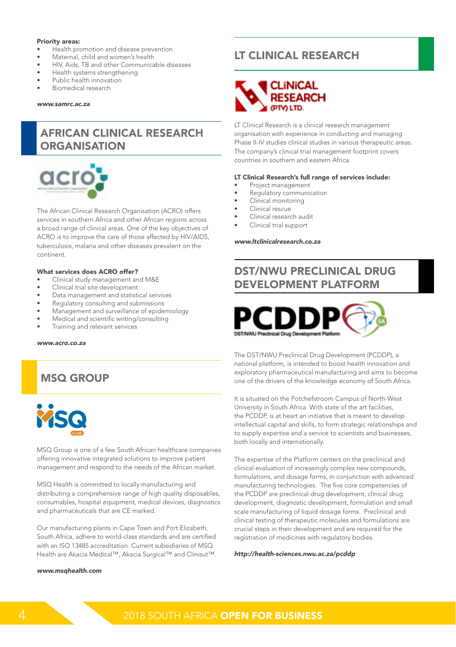#### Priority areas:

- Health promotion and disease prevention
- Maternal, child and women's health
- HIV, Aids, TB and other Communicable diseases
- Health systems strengthening
- Public health innovation
- Biomedical research

#### *www.samrc.ac.za*

# AFRICAN CLINICAL RESEARCH **ORGANISATION**



The African Clinical Research Organisation (ACRO) offers services in southern Africa and other African regions across a broad range of clinical areas. One of the key objectives of ACRO is to improve the care of those affected by HIV/AIDS, tuberculosis, malaria and other diseases prevalent on the continent.

#### What services does ACRO offer?

- Clinical study management and M&E
- Clinical trial site development
- Data management and statistical services
- Regulatory consulting and submissions
- Management and surveillance of epidemiology
- Medical and scientific writing/consulting
- Training and relevant services

#### *www.acro.co.za*

# MSQ GROUP



MSQ Group is one of a few South African healthcare companies offering innovative integrated solutions to improve patient management and respond to the needs of the African market.

MSQ Health is committed to locally manufacturing and distributing a comprehensive range of high quality disposables, consumables, hospital equipment, medical devices, diagnostics and pharmaceuticals that are CE marked.

Our manufacturing plants in Cape Town and Port Elizabeth, South Africa, adhere to world-class standards and are certified with an ISO 13485 accreditation. Current subsidiaries of MSQ Health are Akacia Medical™, Akacia Surgical™ and Clinisut™.

#### *www.msqhealth.com*

# LT CLINICAL RESEARCH



LT Clinical Research is a clinical research management organisation with experience in conducting and managing Phase II-IV studies clinical studies in various therapeutic areas. The company's clinical trial management footprint covers countries in southern and eastern Africa.

#### LT Clinical Research's full range of services include:

- Project management
- Regulatory communication
- Clinical monitoring
- Clinical rescue
- Clinical research audit
- Clinical trial support

#### *www.ltclinicalresearch.co.za*

# DST/NWU PRECLINICAL DRUG DEVELOPMENT PLATFORM



The DST/NWU Preclinical Drug Development (PCDDP), a national platform, is intended to boost health innovation and exploratory pharmaceutical manufacturing and aims to become one of the drivers of the knowledge economy of South Africa.

It is situated on the Potchefstroom Campus of North-West University in South Africa. With state of the art facilities, the PCDDP, is at heart an initiative that is meant to develop intellectual capital and skills, to form strategic relationships and to supply expertise and a service to scientists and businesses, both locally and internationally.

The expertise of the Platform centers on the preclinical and clinical evaluation of increasingly complex new compounds, formulations, and dosage forms, in conjunction with advanced manufacturing technologies. The five core competencies of the PCDDP are preclinical drug development, clinical drug development, diagnostic development, formulation and small scale manufacturing of liquid dosage forms. Preclinical and clinical testing of therapeutic molecules and formulations are crucial steps in their development and are required for the registration of medicines with regulatory bodies.

*http://health-sciences.nwu.ac.za/pcddp*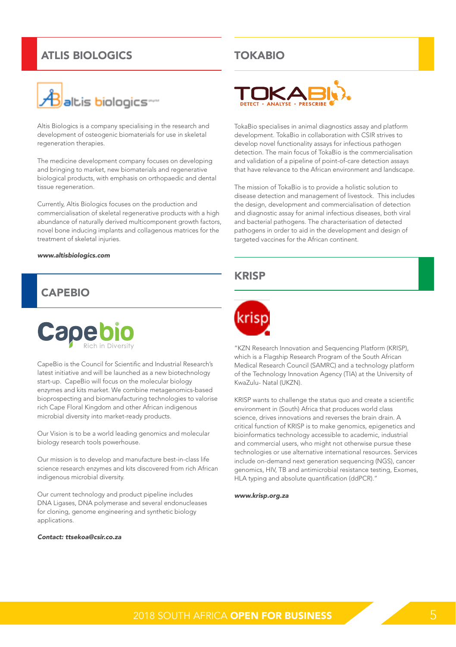# ATLIS BIOLOGICS



Altis Biologics is a company specialising in the research and development of osteogenic biomaterials for use in skeletal regeneration therapies.

The medicine development company focuses on developing and bringing to market, new biomaterials and regenerative biological products, with emphasis on orthopaedic and dental tissue regeneration.

Currently, Altis Biologics focuses on the production and commercialisation of skeletal regenerative products with a high abundance of naturally derived multicomponent growth factors, novel bone inducing implants and collagenous matrices for the treatment of skeletal injuries.

#### *www.altisbiologics.com*

# CAPEBIO



CapeBio is the Council for Scientific and Industrial Research's latest initiative and will be launched as a new biotechnology start-up. CapeBio will focus on the molecular biology enzymes and kits market. We combine metagenomics-based bioprospecting and biomanufacturing technologies to valorise rich Cape Floral Kingdom and other African indigenous microbial diversity into market-ready products.

Our Vision is to be a world leading genomics and molecular biology research tools powerhouse.

Our mission is to develop and manufacture best-in-class life science research enzymes and kits discovered from rich African indigenous microbial diversity.

Our current technology and product pipeline includes DNA Ligases, DNA polymerase and several endonucleases for cloning, genome engineering and synthetic biology applications.

#### *Contact: ttsekoa@csir.co.za*

# TOKABIO



TokaBio specialises in animal diagnostics assay and platform development. TokaBio in collaboration with CSIR strives to develop novel functionality assays for infectious pathogen detection. The main focus of TokaBio is the commercialisation and validation of a pipeline of point-of-care detection assays that have relevance to the African environment and landscape.

The mission of TokaBio is to provide a holistic solution to disease detection and management of livestock. This includes the design, development and commercialisation of detection and diagnostic assay for animal infectious diseases, both viral and bacterial pathogens. The characterisation of detected pathogens in order to aid in the development and design of targeted vaccines for the African continent.

## **KRISP**



"KZN Research Innovation and Sequencing Platform (KRISP), which is a Flagship Research Program of the South African Medical Research Council (SAMRC) and a technology platform of the Technology Innovation Agency (TIA) at the University of KwaZulu- Natal (UKZN).

KRISP wants to challenge the status quo and create a scientific environment in (South) Africa that produces world class science, drives innovations and reverses the brain drain. A critical function of KRISP is to make genomics, epigenetics and bioinformatics technology accessible to academic, industrial and commercial users, who might not otherwise pursue these technologies or use alternative international resources. Services include on-demand next generation sequencing (NGS), cancer genomics, HIV, TB and antimicrobial resistance testing, Exomes, HLA typing and absolute quantification (ddPCR)."

#### *www.krisp.org.za*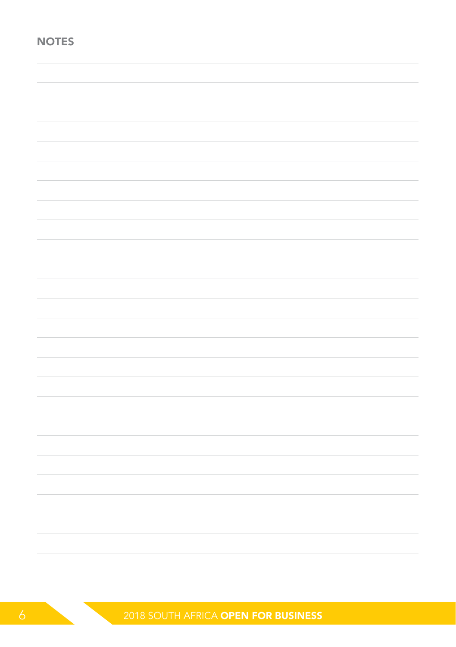| <b>NOTES</b> |  |  |
|--------------|--|--|
|              |  |  |
|              |  |  |
|              |  |  |
|              |  |  |
|              |  |  |
|              |  |  |
|              |  |  |
|              |  |  |
|              |  |  |
|              |  |  |
|              |  |  |
|              |  |  |
|              |  |  |
|              |  |  |
|              |  |  |
|              |  |  |
|              |  |  |
|              |  |  |
|              |  |  |
|              |  |  |
|              |  |  |
|              |  |  |
|              |  |  |

**6 2018 SOUTH AFRICA OPEN FOR BUSINESS**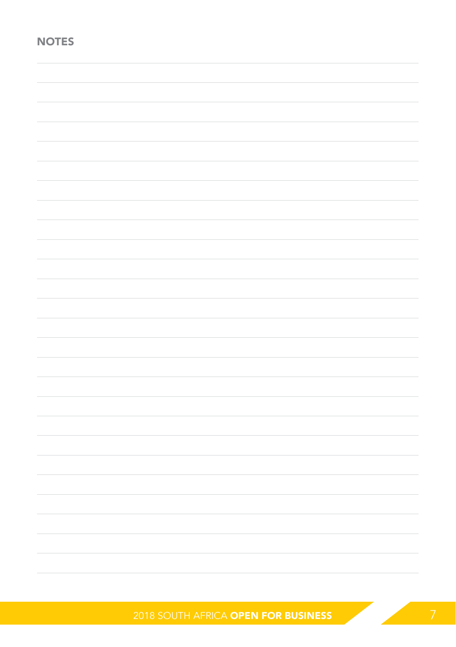| <b>NOTES</b> |  |  |
|--------------|--|--|
|              |  |  |
|              |  |  |
|              |  |  |
|              |  |  |
|              |  |  |
|              |  |  |
|              |  |  |
|              |  |  |
|              |  |  |
|              |  |  |
|              |  |  |
|              |  |  |
|              |  |  |
|              |  |  |
|              |  |  |
|              |  |  |
|              |  |  |
|              |  |  |
|              |  |  |
|              |  |  |
|              |  |  |
|              |  |  |
|              |  |  |
|              |  |  |

2018 SOUTH AFRICA OPEN FOR BUSINESS 7